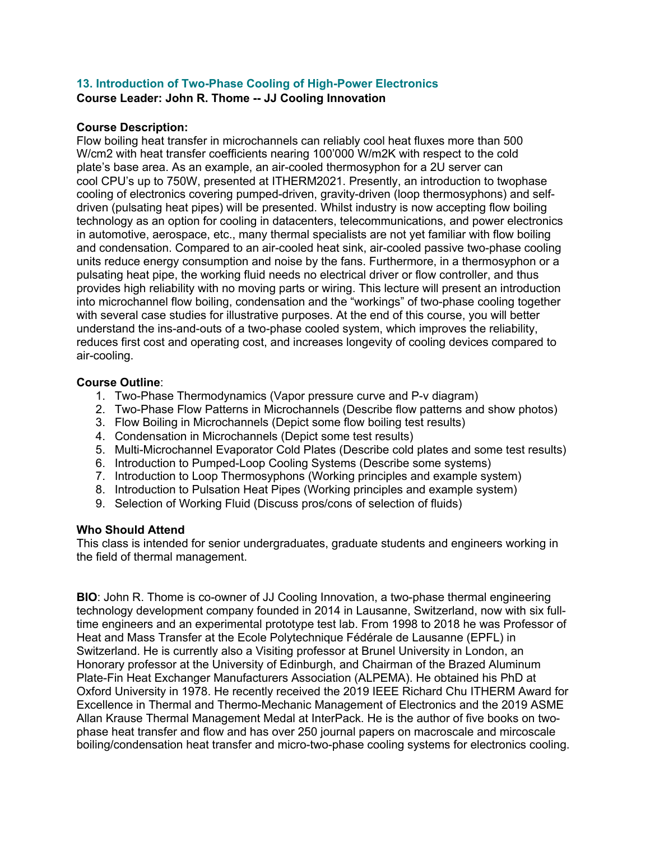## **13. Introduction of Two-Phase Cooling of High-Power Electronics Course Leader: John R. Thome -- JJ Cooling Innovation**

## **Course Description:**

Flow boiling heat transfer in microchannels can reliably cool heat fluxes more than 500 W/cm2 with heat transfer coefficients nearing 100'000 W/m2K with respect to the cold plate's base area. As an example, an air-cooled thermosyphon for a 2U server can cool CPU's up to 750W, presented at ITHERM2021. Presently, an introduction to twophase cooling of electronics covering pumped-driven, gravity-driven (loop thermosyphons) and selfdriven (pulsating heat pipes) will be presented. Whilst industry is now accepting flow boiling technology as an option for cooling in datacenters, telecommunications, and power electronics in automotive, aerospace, etc., many thermal specialists are not yet familiar with flow boiling and condensation. Compared to an air-cooled heat sink, air-cooled passive two-phase cooling units reduce energy consumption and noise by the fans. Furthermore, in a thermosyphon or a pulsating heat pipe, the working fluid needs no electrical driver or flow controller, and thus provides high reliability with no moving parts or wiring. This lecture will present an introduction into microchannel flow boiling, condensation and the "workings" of two-phase cooling together with several case studies for illustrative purposes. At the end of this course, you will better understand the ins-and-outs of a two-phase cooled system, which improves the reliability, reduces first cost and operating cost, and increases longevity of cooling devices compared to air-cooling.

## **Course Outline**:

- 1. Two-Phase Thermodynamics (Vapor pressure curve and P-v diagram)
- 2. Two-Phase Flow Patterns in Microchannels (Describe flow patterns and show photos)
- 3. Flow Boiling in Microchannels (Depict some flow boiling test results)
- 4. Condensation in Microchannels (Depict some test results)
- 5. Multi-Microchannel Evaporator Cold Plates (Describe cold plates and some test results)
- 6. Introduction to Pumped-Loop Cooling Systems (Describe some systems)
- 7. Introduction to Loop Thermosyphons (Working principles and example system)
- 8. Introduction to Pulsation Heat Pipes (Working principles and example system)
- 9. Selection of Working Fluid (Discuss pros/cons of selection of fluids)

## **Who Should Attend**

This class is intended for senior undergraduates, graduate students and engineers working in the field of thermal management.

**BIO**: John R. Thome is co-owner of JJ Cooling Innovation, a two-phase thermal engineering technology development company founded in 2014 in Lausanne, Switzerland, now with six fulltime engineers and an experimental prototype test lab. From 1998 to 2018 he was Professor of Heat and Mass Transfer at the Ecole Polytechnique Fédérale de Lausanne (EPFL) in Switzerland. He is currently also a Visiting professor at Brunel University in London, an Honorary professor at the University of Edinburgh, and Chairman of the Brazed Aluminum Plate-Fin Heat Exchanger Manufacturers Association (ALPEMA). He obtained his PhD at Oxford University in 1978. He recently received the 2019 IEEE Richard Chu ITHERM Award for Excellence in Thermal and Thermo-Mechanic Management of Electronics and the 2019 ASME Allan Krause Thermal Management Medal at InterPack. He is the author of five books on twophase heat transfer and flow and has over 250 journal papers on macroscale and mircoscale boiling/condensation heat transfer and micro-two-phase cooling systems for electronics cooling.